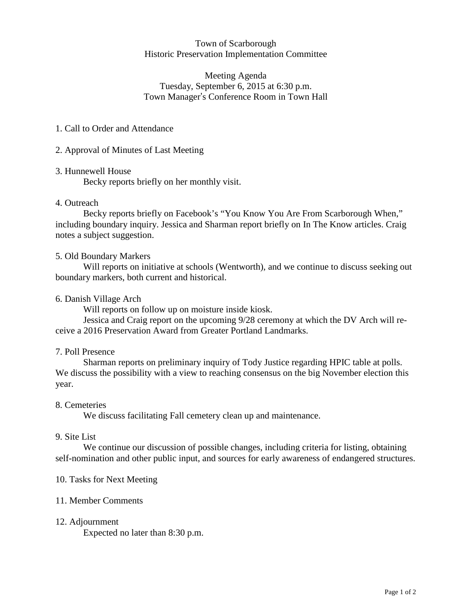## Town of Scarborough Historic Preservation Implementation Committee

# Meeting Agenda Tuesday, September 6, 2015 at 6:30 p.m. Town Manager's Conference Room in Town Hall

# 1. Call to Order and Attendance

# 2. Approval of Minutes of Last Meeting

## 3. Hunnewell House

Becky reports briefly on her monthly visit.

# 4. Outreach

Becky reports briefly on Facebook's "You Know You Are From Scarborough When," including boundary inquiry. Jessica and Sharman report briefly on In The Know articles. Craig notes a subject suggestion.

### 5. Old Boundary Markers

Will reports on initiative at schools (Wentworth), and we continue to discuss seeking out boundary markers, both current and historical.

### 6. Danish Village Arch

Will reports on follow up on moisture inside kiosk.

Jessica and Craig report on the upcoming 9/28 ceremony at which the DV Arch will receive a 2016 Preservation Award from Greater Portland Landmarks.

## 7. Poll Presence

Sharman reports on preliminary inquiry of Tody Justice regarding HPIC table at polls. We discuss the possibility with a view to reaching consensus on the big November election this year.

## 8. Cemeteries

We discuss facilitating Fall cemetery clean up and maintenance.

#### 9. Site List

We continue our discussion of possible changes, including criteria for listing, obtaining self-nomination and other public input, and sources for early awareness of endangered structures.

## 10. Tasks for Next Meeting

## 11. Member Comments

## 12. Adjournment

Expected no later than 8:30 p.m.